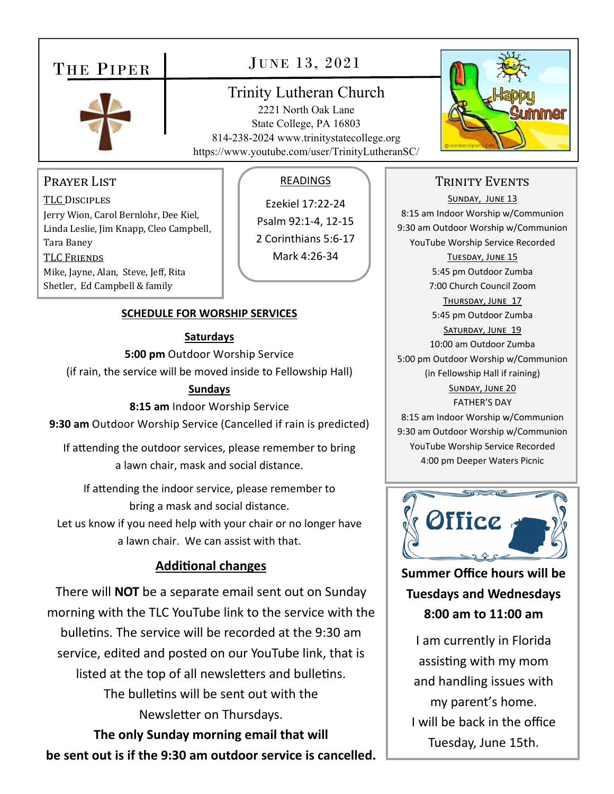# THE PIPER



## JUNE 13, 2021

## Trinity Lutheran Church

2221 North Oak Lane State College, PA 16803 814-238-2024 www.trinitystatecollege.org https://www.youtube.com/user/TrinityLutheranSC/



### PRAYER LIST

TLC DISCIPLES Jerry Wion, Carol Bernlohr, Dee Kiel, Linda Leslie, Jim Knapp, Cleo Campbell, Tara Baney TLC FRIENDS Mike, Jayne, Alan, Steve, Jeff, Rita Shetler, Ed Campbell & family

#### **SCHEDULE FOR WORSHIP SERVICES**

#### **Saturdays**

**5:00 pm** Outdoor Worship Service

(if rain, the service will be moved inside to Fellowship Hall)

#### **Sundays**

**8:15 am** Indoor Worship Service **9:30 am** Outdoor Worship Service (Cancelled if rain is predicted)

If attending the outdoor services, please remember to bring a lawn chair, mask and social distance.

If attending the indoor service, please remember to bring a mask and social distance.

Let us know if you need help with your chair or no longer have a lawn chair. We can assist with that.

## **AddiƟonal changes**

There will **NOT** be a separate email sent out on Sunday morning with the TLC YouTube link to the service with the bulletins. The service will be recorded at the 9:30 am service, edited and posted on our YouTube link, that is listed at the top of all newsletters and bulletins. The bulletins will be sent out with the Newsletter on Thursdays.

**The only Sunday morning email that will be sent out is if the 9:30 am outdoor service is cancelled.** 

### READINGS

Ezekiel 17:22‐24 Psalm 92:1‐4, 12‐15 2 Corinthians 5:6‐17 Mark 4:26‐34

## TRINITY EVENTS

SUNDAY, JUNE 13 8:15 am Indoor Worship w/Communion 9:30 am Outdoor Worship w/Communion YouTube Worship Service Recorded TUESDAY, JUNE 15 5:45 pm Outdoor Zumba 7:00 Church Council Zoom THURSDAY, JUNE 17 5:45 pm Outdoor Zumba SATURDAY, JUNE 19 10:00 am Outdoor Zumba 5:00 pm Outdoor Worship w/Communion (in Fellowship Hall if raining) SUNDAY, JUNE 20 FATHER'S DAY 8:15 am Indoor Worship w/Communion 9:30 am Outdoor Worship w/Communion YouTube Worship Service Recorded



4:00 pm Deeper Waters Picnic

**Summer Office hours will be Tuesdays and Wednesdays 8:00 am to 11:00 am** 

I am currently in Florida assisting with my mom and handling issues with my parent's home. I will be back in the office Tuesday, June 15th.